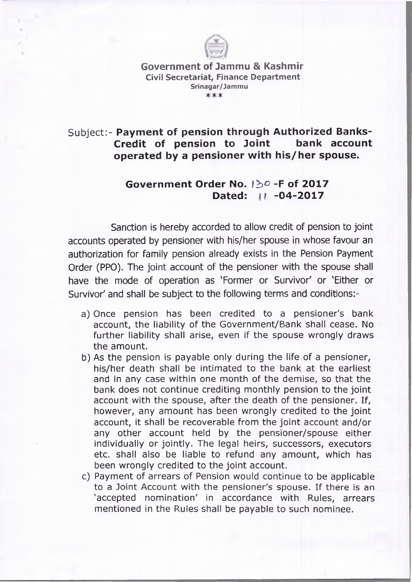

**Government of Jammu & Kashmir Civil Secretariat, Finance Department** Srinagar/Jammu **\*\*\***

## Subject:- Payment of pension through Authorized Banks-**Credit of pension to Joint bank account operated by a pensioner with his/her spouse.**

## **Governm ent Order No.** *\ b °* **-F of 2017** Dated:  $||$  -04-2017

Sanction is hereby accorded to allow credit of pension to joint accounts operated by pensioner with his/her spouse in whose favour an authorization for family pension already exists in the Pension Payment Order (PPO). The joint account of the pensioner with the spouse shall have the mode of operation as 'Former or Survivor' or 'Either or Survivor' and shall be subject to the following terms and conditions:-

- a) Once pension has been credited to a pensioner's bank account, the liability of the Government/Bank shall cease. No further liability shall arise, even if the spouse wrongly draws the amount.
- b) As the pension is payable only during the life of a pensioner, his/her death shall be intimated to the bank at the earliest and in any case within one month of the demise, so that the bank does not continue crediting monthly pension to the joint account with the spouse, after the death of the pensioner. If, however, any amount has been wrongly credited to the joint account, it shall be recoverable from the joint account and/or any other account held by the pensioner/spouse either individually or jointly. The legal heirs, successors, executors etc. shall also be liable to refund any amount, which has been wrongly credited to the joint account.
- c) Payment of arrears of Pension would continue to be applicable to a Joint Account with the pensioner's spouse. If there is an 'accepted nomination' in accordance with Rules, arrears mentioned in the Rules shall be payable to such nominee.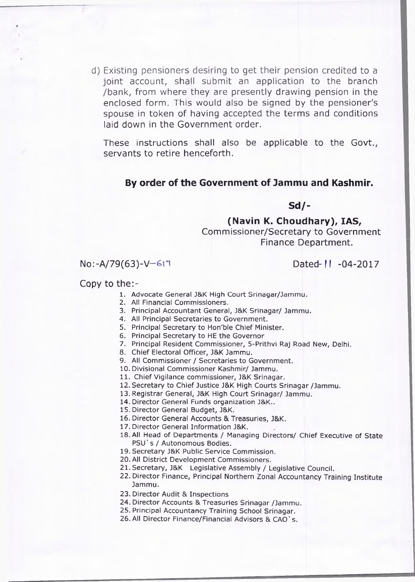d) Existing pensioners desiring to get their pension credited to a joint account, shall submit an application to the branch /bank, from where they are presently drawing pension in the enclosed form. This would also be signed by the pensioner's spouse in token of having accepted the terms and conditions laid down in the Government order.

These instructions shall also be applicable to the Govt., servants to retire henceforth.

## **By order of the Government of Jammu and Kashmir.**

**Sd/-**

**(Navin K. Choudhary), IAS,** Commissioner/Secretary to Government Finance Department.

## No:-A/79(63)-V-617 Dated-11 -04-2017

Copy to the:-

- 1. Advocate General J&K High Court Srinagar/Jammu.
- 2. All Financial Commissioners.
- 3. Principal Accountant General, J&K Srinagar/ Jammu.
- 4. All Principal Secretaries to Government.
- 5. Principal Secretary to Hon'ble Chief Minister.
- 6. Principal Secretary to HE the Governor
- 7. Principal Resident Commissioner, 5-Prithvi Raj Road New, Delhi.
- 8. Chief Electoral Officer, J&K Jammu.
- 9. All Commissioner / Secretaries to Government.
- 10. Divisional Comm issioner Kashmir/ Jammu.
- 11. Chief Vigilance commissioner, J&K Srinagar.
- 12. Secretary to Chief Justice J&K High Courts Srinagar /Jammu.
- 13. Registrar General, J&K High Court Srinagar/ Jammu.
- 14. Director General Funds organization J&K..
- 15. Director General Budget, J&K.
- 16. Director General Accounts & Treasuries, J&K.
- 17. Director General Information J&K.
- 18. All Head of Departments / Managing Directors/ Chief Executive of State PSU's / Autonomous Bodies.
- 19. Secretary J&K Public Service Commission.
- 20. All District Development Commissioners.
- 21. Secretary, J&K Legislative Assem bly / Legislative Council.
- 22. Director Finance, Principal Northern Zonal Accountancy Training Institute Jammu.
- 23. Director Audit & Inspections
- 24. Director Accounts & Treasuries Srinagar /Jammu.
- 25. Principal Accountancy Training School Srinagar.
- 26. All Director Finance/Financial Advisors & CAO's.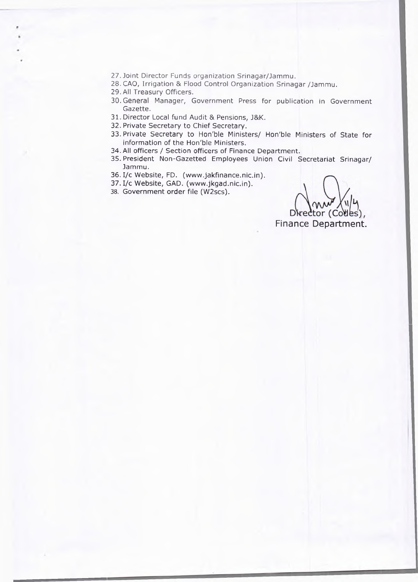- 27. Joint Director Funds organization Srinagar/Jammu.
- 28. CAO, Irrigation & Flood Control Organization Srinagar /Jammu.
- 29. All Treasury Officers.
- 30. General Manager, Government Press for publication in Government Gazette.
- 31. Director Local fund Audit & Pensions, J&K.
- 32. Private Secretary to Chief Secretary.
- 33. Private Secretary to Hon'ble Ministers/ Hon'ble Ministers of State for information of the Hon'ble Ministers.
- 34. All officers / Section officers of Finance Department.
- 35. President Non-Gazetted Employees Union Civil Secretariat Srinagar/ Jammu.
- 36. I/c Website, FD. (www.jakfinance.nic.in).
- 37. I/c Website, GAD. (www.jkgad.nic.in).
- 38. Government order file (W2scs).

Director (Codes),

Finance Department.